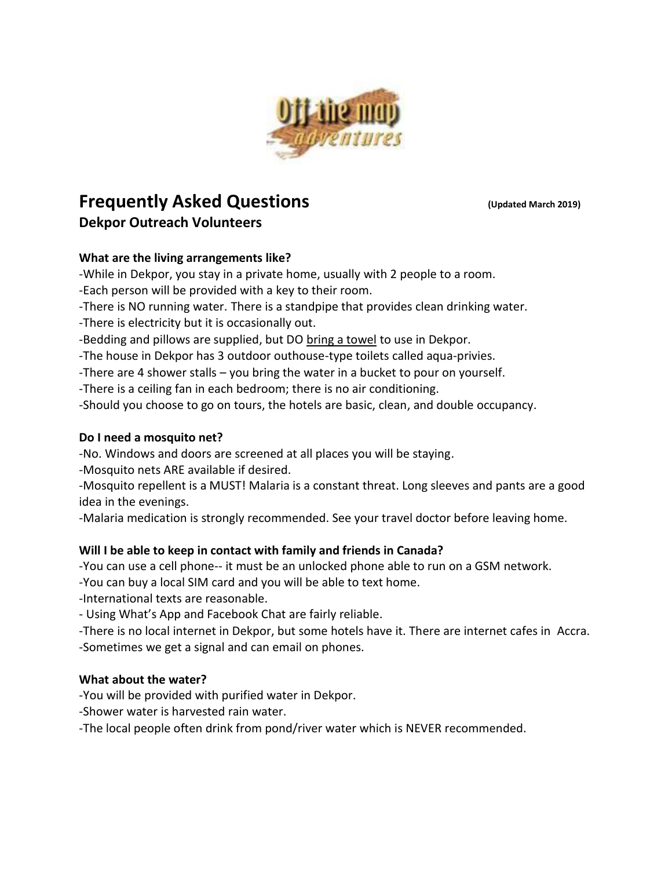

# **Frequently Asked Questions** *(Updated March 2019)* **Dekpor Outreach Volunteers**

# **What are the living arrangements like?**

-While in Dekpor, you stay in a private home, usually with 2 people to a room.

-Each person will be provided with a key to their room.

-There is NO running water. There is a standpipe that provides clean drinking water.

-There is electricity but it is occasionally out.

-Bedding and pillows are supplied, but DO bring a towel to use in Dekpor.

-The house in Dekpor has 3 outdoor outhouse-type toilets called aqua-privies.

-There are 4 shower stalls – you bring the water in a bucket to pour on yourself.

-There is a ceiling fan in each bedroom; there is no air conditioning.

-Should you choose to go on tours, the hotels are basic, clean, and double occupancy.

### **Do I need a mosquito net?**

-No. Windows and doors are screened at all places you will be staying.

-Mosquito nets ARE available if desired.

-Mosquito repellent is a MUST! Malaria is a constant threat. Long sleeves and pants are a good idea in the evenings.

-Malaria medication is strongly recommended. See your travel doctor before leaving home.

# **Will I be able to keep in contact with family and friends in Canada?**

-You can use a cell phone-- it must be an unlocked phone able to run on a GSM network.

-You can buy a local SIM card and you will be able to text home.

-International texts are reasonable.

- Using What's App and Facebook Chat are fairly reliable.

-There is no local internet in Dekpor, but some hotels have it. There are internet cafes in Accra. -Sometimes we get a signal and can email on phones.

# **What about the water?**

-You will be provided with purified water in Dekpor.

-Shower water is harvested rain water.

-The local people often drink from pond/river water which is NEVER recommended.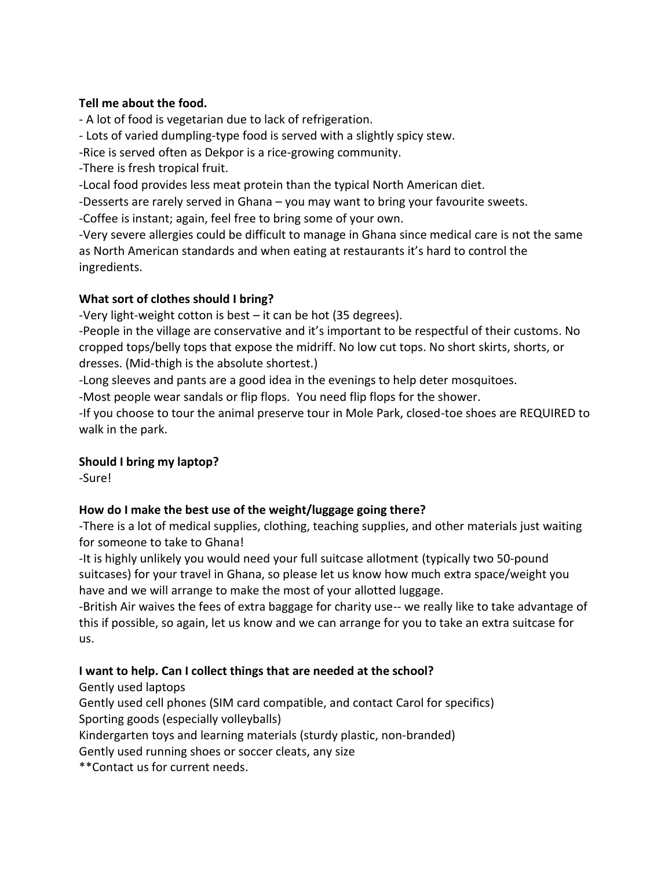### **Tell me about the food.**

- A lot of food is vegetarian due to lack of refrigeration.

- Lots of varied dumpling-type food is served with a slightly spicy stew.

-Rice is served often as Dekpor is a rice-growing community.

-There is fresh tropical fruit.

-Local food provides less meat protein than the typical North American diet.

-Desserts are rarely served in Ghana – you may want to bring your favourite sweets.

-Coffee is instant; again, feel free to bring some of your own.

-Very severe allergies could be difficult to manage in Ghana since medical care is not the same as North American standards and when eating at restaurants it's hard to control the ingredients.

## **What sort of clothes should I bring?**

-Very light-weight cotton is best – it can be hot (35 degrees).

-People in the village are conservative and it's important to be respectful of their customs. No cropped tops/belly tops that expose the midriff. No low cut tops. No short skirts, shorts, or dresses. (Mid-thigh is the absolute shortest.)

-Long sleeves and pants are a good idea in the evenings to help deter mosquitoes.

-Most people wear sandals or flip flops. You need flip flops for the shower.

-If you choose to tour the animal preserve tour in Mole Park, closed-toe shoes are REQUIRED to walk in the park.

# **Should I bring my laptop?**

-Sure!

# **How do I make the best use of the weight/luggage going there?**

-There is a lot of medical supplies, clothing, teaching supplies, and other materials just waiting for someone to take to Ghana!

-It is highly unlikely you would need your full suitcase allotment (typically two 50-pound suitcases) for your travel in Ghana, so please let us know how much extra space/weight you have and we will arrange to make the most of your allotted luggage.

-British Air waives the fees of extra baggage for charity use-- we really like to take advantage of this if possible, so again, let us know and we can arrange for you to take an extra suitcase for us.

# **I want to help. Can I collect things that are needed at the school?**

Gently used laptops

Gently used cell phones (SIM card compatible, and contact Carol for specifics) Sporting goods (especially volleyballs)

Kindergarten toys and learning materials (sturdy plastic, non-branded)

Gently used running shoes or soccer cleats, any size

\*\*Contact us for current needs.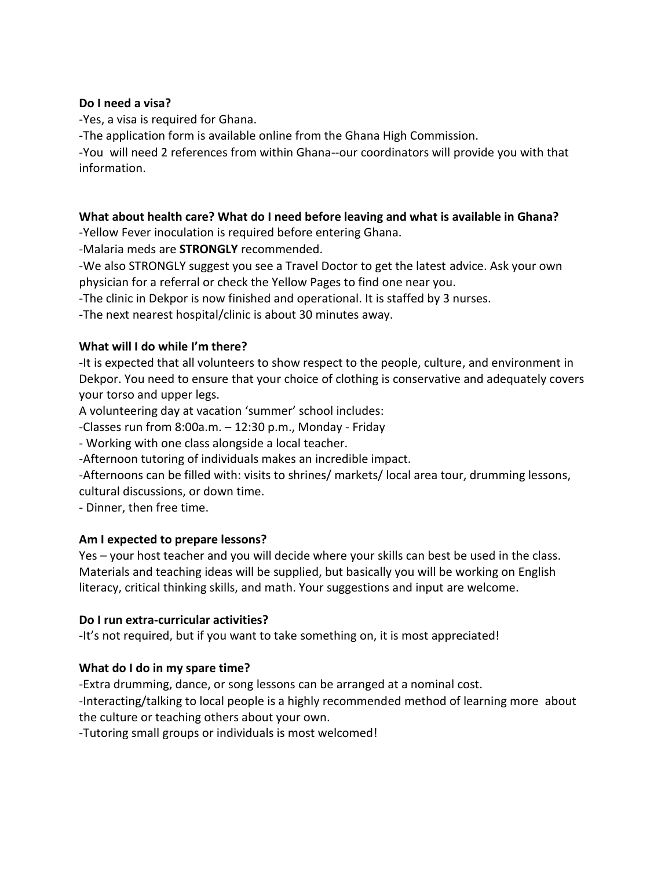#### **Do I need a visa?**

-Yes, a visa is required for Ghana.

-The application form is available online from the Ghana High Commission.

-You will need 2 references from within Ghana--our coordinators will provide you with that information.

#### **What about health care? What do I need before leaving and what is available in Ghana?**

-Yellow Fever inoculation is required before entering Ghana.

-Malaria meds are **STRONGLY** recommended.

-We also STRONGLY suggest you see a Travel Doctor to get the latest advice. Ask your own physician for a referral or check the Yellow Pages to find one near you.

-The clinic in Dekpor is now finished and operational. It is staffed by 3 nurses.

-The next nearest hospital/clinic is about 30 minutes away.

### **What will I do while I'm there?**

-It is expected that all volunteers to show respect to the people, culture, and environment in Dekpor. You need to ensure that your choice of clothing is conservative and adequately covers your torso and upper legs.

A volunteering day at vacation 'summer' school includes:

-Classes run from 8:00a.m. – 12:30 p.m., Monday - Friday

- Working with one class alongside a local teacher.

-Afternoon tutoring of individuals makes an incredible impact.

-Afternoons can be filled with: visits to shrines/ markets/ local area tour, drumming lessons, cultural discussions, or down time.

- Dinner, then free time.

#### **Am I expected to prepare lessons?**

Yes – your host teacher and you will decide where your skills can best be used in the class. Materials and teaching ideas will be supplied, but basically you will be working on English literacy, critical thinking skills, and math. Your suggestions and input are welcome.

#### **Do I run extra-curricular activities?**

-It's not required, but if you want to take something on, it is most appreciated!

### **What do I do in my spare time?**

-Extra drumming, dance, or song lessons can be arranged at a nominal cost.

-Interacting/talking to local people is a highly recommended method of learning more about the culture or teaching others about your own.

-Tutoring small groups or individuals is most welcomed!